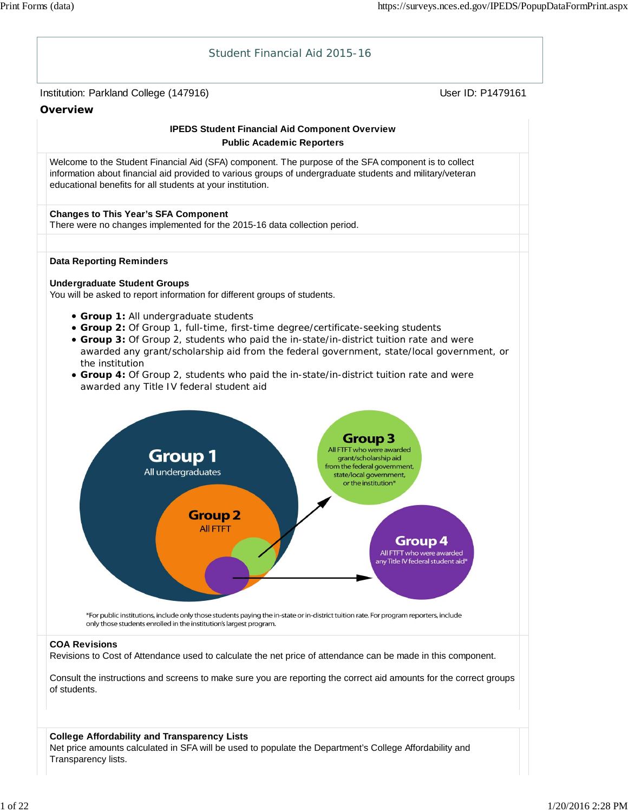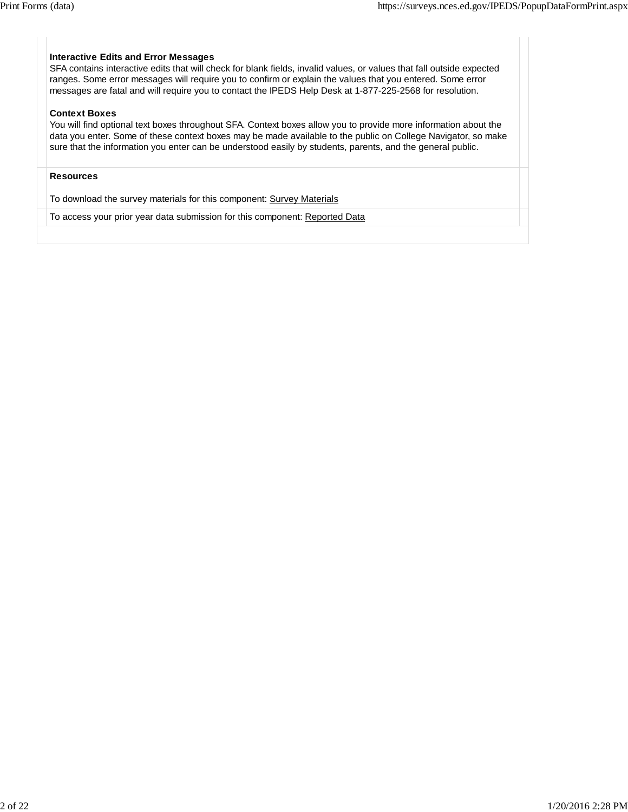# **Interactive Edits and Error Messages**

SFA contains interactive edits that will check for blank fields, invalid values, or values that fall outside expected ranges. Some error messages will require you to confirm or explain the values that you entered. Some error messages are fatal and will require you to contact the IPEDS Help Desk at 1-877-225-2568 for resolution.

#### **Context Boxes**

You will find optional text boxes throughout SFA. Context boxes allow you to provide more information about the data you enter. Some of these context boxes may be made available to the public on College Navigator, so make sure that the information you enter can be understood easily by students, parents, and the general public.

# **Resources**

To download the survey materials for this component: Survey Materials

To access your prior year data submission for this component: Reported Data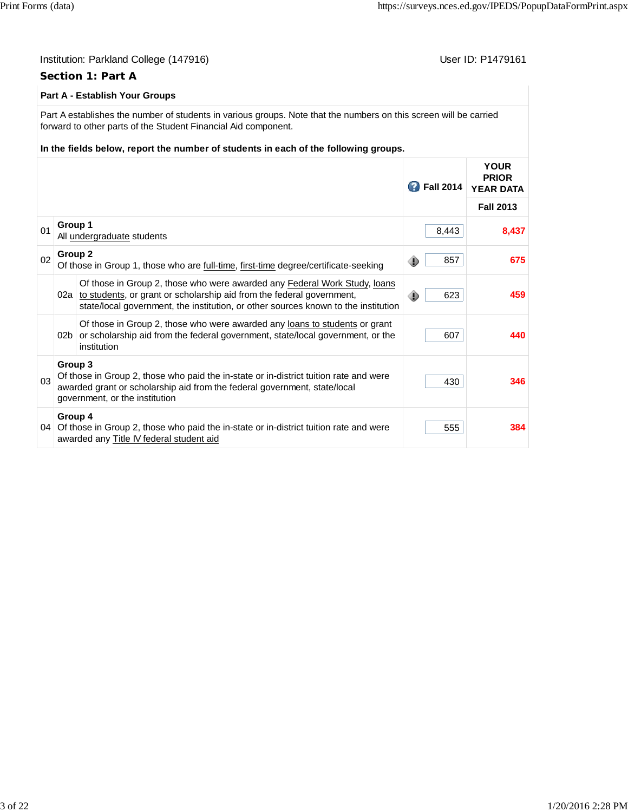|                                                                                                                                                                                                                       | User ID: P1479161<br>Institution: Parkland College (147916)<br><b>Section 1: Part A</b>                                                                |                                                                                                                                                                                                                                                                            |                    |                                                 |  |  |
|-----------------------------------------------------------------------------------------------------------------------------------------------------------------------------------------------------------------------|--------------------------------------------------------------------------------------------------------------------------------------------------------|----------------------------------------------------------------------------------------------------------------------------------------------------------------------------------------------------------------------------------------------------------------------------|--------------------|-------------------------------------------------|--|--|
|                                                                                                                                                                                                                       |                                                                                                                                                        | <b>Part A - Establish Your Groups</b>                                                                                                                                                                                                                                      |                    |                                                 |  |  |
|                                                                                                                                                                                                                       |                                                                                                                                                        | Part A establishes the number of students in various groups. Note that the numbers on this screen will be carried<br>forward to other parts of the Student Financial Aid component.<br>In the fields below, report the number of students in each of the following groups. |                    |                                                 |  |  |
|                                                                                                                                                                                                                       |                                                                                                                                                        |                                                                                                                                                                                                                                                                            | <b>2</b> Fall 2014 | <b>YOUR</b><br><b>PRIOR</b><br><b>YEAR DATA</b> |  |  |
|                                                                                                                                                                                                                       |                                                                                                                                                        |                                                                                                                                                                                                                                                                            |                    | <b>Fall 2013</b>                                |  |  |
| 01                                                                                                                                                                                                                    | Group 1<br>All undergraduate students                                                                                                                  |                                                                                                                                                                                                                                                                            |                    | 8,437                                           |  |  |
| 02                                                                                                                                                                                                                    | Group 2                                                                                                                                                | Of those in Group 1, those who are full-time, first-time degree/certificate-seeking                                                                                                                                                                                        | 857<br>◈           | 675                                             |  |  |
|                                                                                                                                                                                                                       |                                                                                                                                                        | Of those in Group 2, those who were awarded any Federal Work Study, loans<br>02a to students, or grant or scholarship aid from the federal government,<br>state/local government, the institution, or other sources known to the institution                               | 623<br>⊕           | 459                                             |  |  |
|                                                                                                                                                                                                                       | 02 <sub>b</sub>                                                                                                                                        | Of those in Group 2, those who were awarded any loans to students or grant<br>or scholarship aid from the federal government, state/local government, or the<br>institution                                                                                                | 607                | 440                                             |  |  |
| Group 3<br>Of those in Group 2, those who paid the in-state or in-district tuition rate and were<br>03<br>awarded grant or scholarship aid from the federal government, state/local<br>government, or the institution |                                                                                                                                                        |                                                                                                                                                                                                                                                                            | 430                | 346                                             |  |  |
|                                                                                                                                                                                                                       | Group 4<br>555<br>04 Of those in Group 2, those who paid the in-state or in-district tuition rate and were<br>awarded any Title IV federal student aid |                                                                                                                                                                                                                                                                            |                    |                                                 |  |  |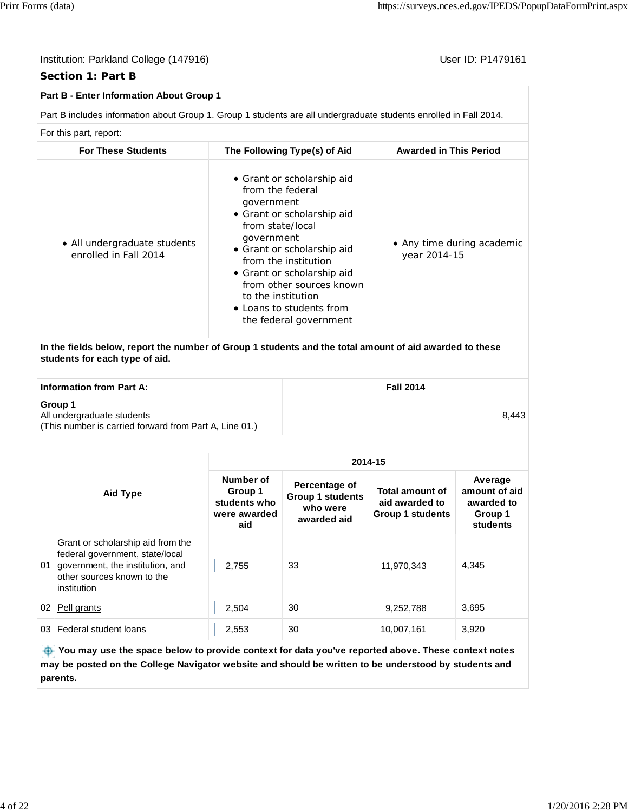# **Section 1: Part B**

# **Part B - Enter Information About Group 1**

Part B includes information about Group 1. Group 1 students are all undergraduate students enrolled in Fall 2014.

For this part, report:

| <b>For These Students</b>                                                                                                                 | The Following Type(s) of Aid                                                                                                                                                                                                                                                                                             | <b>Awarded in This Period</b>              |
|-------------------------------------------------------------------------------------------------------------------------------------------|--------------------------------------------------------------------------------------------------------------------------------------------------------------------------------------------------------------------------------------------------------------------------------------------------------------------------|--------------------------------------------|
| • All undergraduate students<br>enrolled in Fall 2014                                                                                     | • Grant or scholarship aid<br>from the federal<br>government<br>• Grant or scholarship aid<br>from state/local<br>government<br>• Grant or scholarship aid<br>from the institution<br>• Grant or scholarship aid<br>from other sources known<br>to the institution<br>• Loans to students from<br>the federal government | • Any time during academic<br>year 2014-15 |
| In the fields below, report the number of Group 1 students and the total amount of aid awarded to these<br>students for each type of aid. |                                                                                                                                                                                                                                                                                                                          |                                            |
| <b>Information from Part A:</b>                                                                                                           |                                                                                                                                                                                                                                                                                                                          | <b>Fall 2014</b>                           |
| Group 1<br>All undergraduate students<br>(This number is carried forward from Part A, Line 01.)                                           |                                                                                                                                                                                                                                                                                                                          | 8,443                                      |

| Aid Type |                                                                                                                                                       | 2014-15                                                     |                                                                     |                                                                     |                                                               |  |  |
|----------|-------------------------------------------------------------------------------------------------------------------------------------------------------|-------------------------------------------------------------|---------------------------------------------------------------------|---------------------------------------------------------------------|---------------------------------------------------------------|--|--|
|          |                                                                                                                                                       | Number of<br>Group 1<br>students who<br>were awarded<br>aid | Percentage of<br><b>Group 1 students</b><br>who were<br>awarded aid | <b>Total amount of</b><br>aid awarded to<br><b>Group 1 students</b> | Average<br>amount of aid<br>awarded to<br>Group 1<br>students |  |  |
| 01       | Grant or scholarship aid from the<br>federal government, state/local<br>government, the institution, and<br>other sources known to the<br>institution | 2,755                                                       | 33                                                                  | 11,970,343                                                          | 4,345                                                         |  |  |
| 02       | Pell grants                                                                                                                                           | 2,504                                                       | 30                                                                  | 9,252,788                                                           | 3,695                                                         |  |  |
| 03       | Federal student loans                                                                                                                                 | 2,553                                                       | 30                                                                  | 10,007,161                                                          | 3,920                                                         |  |  |
|          | .                                                                                                                                                     |                                                             |                                                                     |                                                                     |                                                               |  |  |

 **You may use the space below to provide context for data you've reported above. These context notes may be posted on the College Navigator website and should be written to be understood by students and parents.**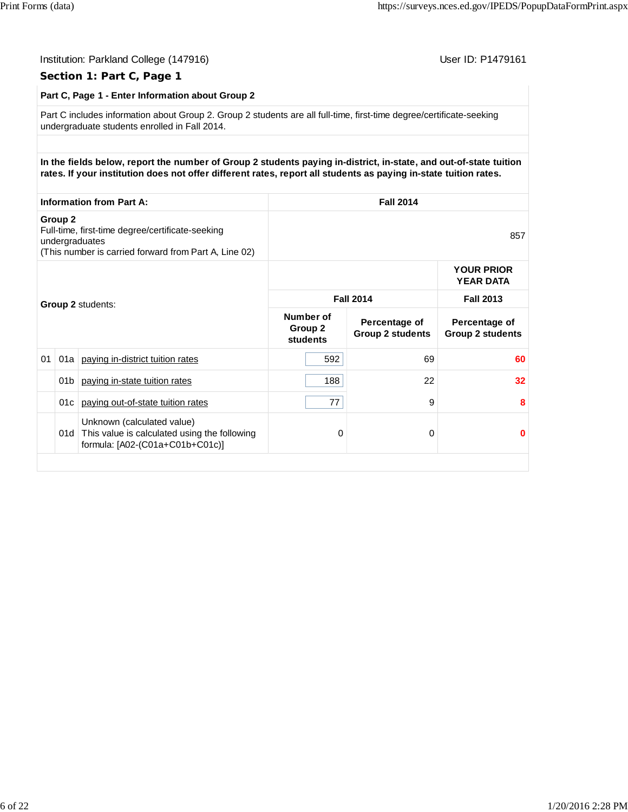| Part C, Page 1 - Enter Information about Group 2                                                                                                                                                                                      |                    |                                                                                                                             |                                  |                                          |                                          |  |
|---------------------------------------------------------------------------------------------------------------------------------------------------------------------------------------------------------------------------------------|--------------------|-----------------------------------------------------------------------------------------------------------------------------|----------------------------------|------------------------------------------|------------------------------------------|--|
| Part C includes information about Group 2. Group 2 students are all full-time, first-time degree/certificate-seeking<br>undergraduate students enrolled in Fall 2014.                                                                 |                    |                                                                                                                             |                                  |                                          |                                          |  |
| In the fields below, report the number of Group 2 students paying in-district, in-state, and out-of-state tuition<br>rates. If your institution does not offer different rates, report all students as paying in-state tuition rates. |                    |                                                                                                                             |                                  |                                          |                                          |  |
|                                                                                                                                                                                                                                       |                    | <b>Information from Part A:</b>                                                                                             |                                  | <b>Fall 2014</b>                         |                                          |  |
|                                                                                                                                                                                                                                       | Group <sub>2</sub> | Full-time, first-time degree/certificate-seeking<br>undergraduates<br>(This number is carried forward from Part A, Line 02) | 857                              |                                          |                                          |  |
|                                                                                                                                                                                                                                       |                    |                                                                                                                             |                                  |                                          | <b>YOUR PRIOR</b><br><b>YEAR DATA</b>    |  |
|                                                                                                                                                                                                                                       |                    | Group 2 students:                                                                                                           | <b>Fall 2014</b>                 |                                          | <b>Fall 2013</b>                         |  |
|                                                                                                                                                                                                                                       |                    |                                                                                                                             | Number of<br>Group 2<br>students | Percentage of<br><b>Group 2 students</b> | Percentage of<br><b>Group 2 students</b> |  |
| 01                                                                                                                                                                                                                                    | 01a                | paying in-district tuition rates                                                                                            | 592                              | 69                                       | 60                                       |  |
|                                                                                                                                                                                                                                       | 01 <sub>b</sub>    | paying in-state tuition rates                                                                                               | 188                              | 22                                       | 32                                       |  |
|                                                                                                                                                                                                                                       | 01c                | paying out-of-state tuition rates                                                                                           | 77                               | 9                                        | 8                                        |  |
|                                                                                                                                                                                                                                       |                    | Unknown (calculated value)<br>01d This value is calculated using the following<br>formula: [A02-(C01a+C01b+C01c)]           | 0                                | 0                                        | $\bf{0}$                                 |  |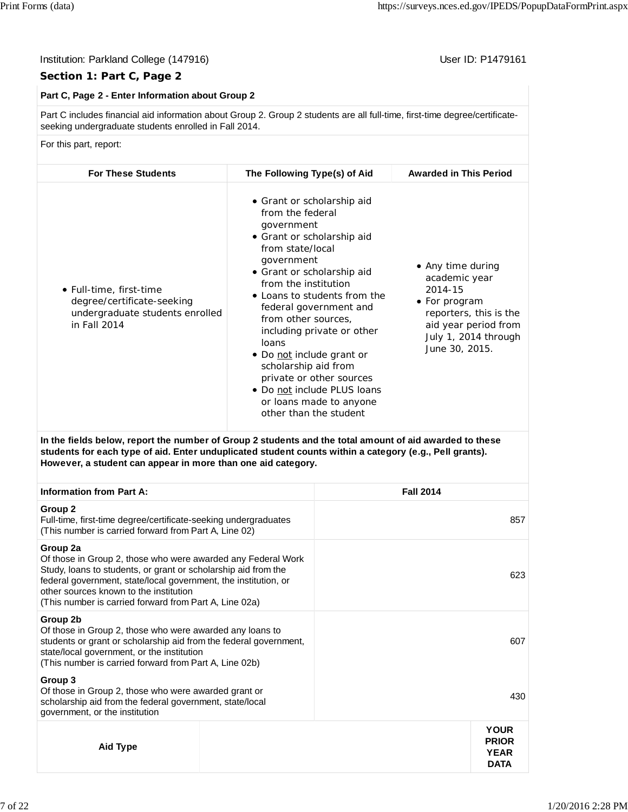# **Section 1: Part C, Page 2**

# **Part C, Page 2 - Enter Information about Group 2**

Part C includes financial aid information about Group 2. Group 2 students are all full-time, first-time degree/certificateseeking undergraduate students enrolled in Fall 2014.

For this part, report:

| <b>For These Students</b>                                                                                | The Following Type(s) of Aid                                                                                                                                                                                                                                                                                                                                                                                                                                                    | <b>Awarded in This Period</b>                                                                                                                              |
|----------------------------------------------------------------------------------------------------------|---------------------------------------------------------------------------------------------------------------------------------------------------------------------------------------------------------------------------------------------------------------------------------------------------------------------------------------------------------------------------------------------------------------------------------------------------------------------------------|------------------------------------------------------------------------------------------------------------------------------------------------------------|
| • Full-time, first-time<br>degree/certificate-seeking<br>undergraduate students enrolled<br>in Fall 2014 | • Grant or scholarship aid<br>from the federal<br>government<br>• Grant or scholarship aid<br>from state/local<br>government<br>• Grant or scholarship aid<br>from the institution<br>• Loans to students from the<br>federal government and<br>from other sources,<br>including private or other<br>loans<br>• Do not include grant or<br>scholarship aid from<br>private or other sources<br>• Do not include PLUS loans<br>or loans made to anyone<br>other than the student | • Any time during<br>academic year<br>2014-15<br>• For program<br>reporters, this is the<br>aid year period from<br>July 1, 2014 through<br>June 30, 2015. |

**In the fields below, report the number of Group 2 students and the total amount of aid awarded to these students for each type of aid. Enter unduplicated student counts within a category (e.g., Pell grants). However, a student can appear in more than one aid category.**

| <b>Information from Part A:</b>                                                                                                                                                                                                                                                                                   |  |  |                                                           |
|-------------------------------------------------------------------------------------------------------------------------------------------------------------------------------------------------------------------------------------------------------------------------------------------------------------------|--|--|-----------------------------------------------------------|
| Group 2<br>Full-time, first-time degree/certificate-seeking undergraduates<br>(This number is carried forward from Part A, Line 02)                                                                                                                                                                               |  |  | 857                                                       |
| Group 2a<br>Of those in Group 2, those who were awarded any Federal Work<br>Study, loans to students, or grant or scholarship aid from the<br>federal government, state/local government, the institution, or<br>other sources known to the institution<br>(This number is carried forward from Part A, Line 02a) |  |  | 623                                                       |
| Group 2b<br>Of those in Group 2, those who were awarded any loans to<br>students or grant or scholarship aid from the federal government,<br>state/local government, or the institution<br>(This number is carried forward from Part A, Line 02b)                                                                 |  |  | 607                                                       |
| Group 3<br>Of those in Group 2, those who were awarded grant or<br>scholarship aid from the federal government, state/local<br>government, or the institution                                                                                                                                                     |  |  | 430                                                       |
| Aid Type                                                                                                                                                                                                                                                                                                          |  |  | <b>YOUR</b><br><b>PRIOR</b><br><b>YEAR</b><br><b>DATA</b> |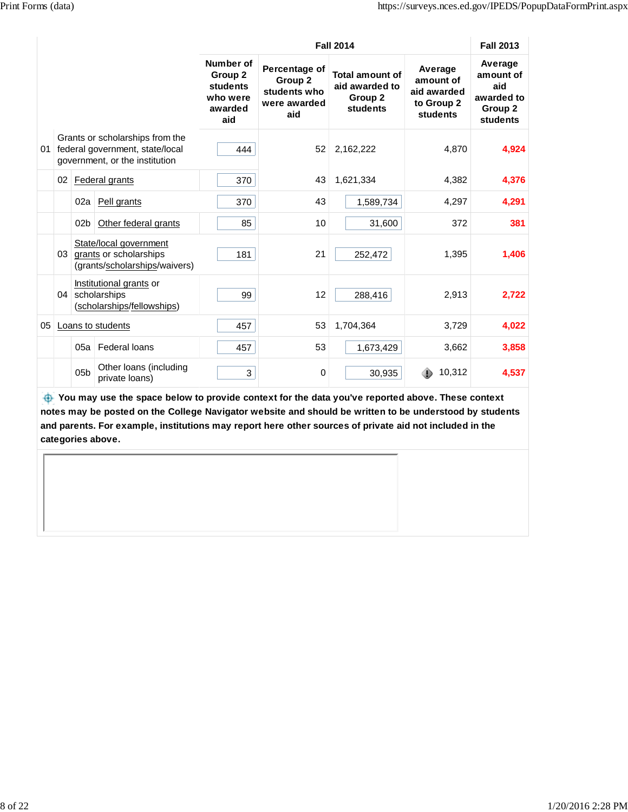|    |                                                                                                      |                 |                                                                                      |                                                                | <b>Fall 2014</b>                                                |                                                                 |                                                                      |                                                                  |
|----|------------------------------------------------------------------------------------------------------|-----------------|--------------------------------------------------------------------------------------|----------------------------------------------------------------|-----------------------------------------------------------------|-----------------------------------------------------------------|----------------------------------------------------------------------|------------------------------------------------------------------|
|    |                                                                                                      |                 |                                                                                      | Number of<br>Group 2<br>students<br>who were<br>awarded<br>aid | Percentage of<br>Group 2<br>students who<br>were awarded<br>aid | <b>Total amount of</b><br>aid awarded to<br>Group 2<br>students | Average<br>amount of<br>aid awarded<br>to Group 2<br><b>students</b> | Average<br>amount of<br>aid<br>awarded to<br>Group 2<br>students |
| 01 | Grants or scholarships from the<br>federal government, state/local<br>government, or the institution |                 | 444                                                                                  | 52                                                             | 2,162,222                                                       | 4,870                                                           | 4,924                                                                |                                                                  |
|    | 02                                                                                                   |                 | Federal grants                                                                       | 370                                                            | 43                                                              | 1,621,334                                                       | 4,382                                                                | 4,376                                                            |
|    |                                                                                                      | 02a             | Pell grants                                                                          | 370                                                            | 43                                                              | 1,589,734                                                       | 4,297                                                                | 4,291                                                            |
|    |                                                                                                      | 02 <sub>b</sub> | Other federal grants                                                                 | 85                                                             | 10                                                              | 31,600                                                          | 372                                                                  | 381                                                              |
|    |                                                                                                      |                 | State/local government<br>03 grants or scholarships<br>(grants/scholarships/waivers) | 181                                                            | 21                                                              | 252,472                                                         | 1,395                                                                | 1,406                                                            |
|    | 04                                                                                                   |                 | Institutional grants or<br>scholarships<br>(scholarships/fellowships)                | 99                                                             | 12                                                              | 288,416                                                         | 2,913                                                                | 2,722                                                            |
| 05 | Loans to students                                                                                    |                 | 457                                                                                  | 53                                                             | 1,704,364                                                       | 3,729                                                           | 4,022                                                                |                                                                  |
|    |                                                                                                      | 05a             | Federal loans                                                                        | 457                                                            | 53                                                              | 1,673,429                                                       | 3,662                                                                | 3,858                                                            |
|    |                                                                                                      | 0 <sub>5</sub>  | Other loans (including<br>private loans)                                             | 3                                                              | 0                                                               | 30,935                                                          | 10,312                                                               | 4,537                                                            |

 **You may use the space below to provide context for the data you've reported above. These context notes may be posted on the College Navigator website and should be written to be understood by students and parents. For example, institutions may report here other sources of private aid not included in the categories above.**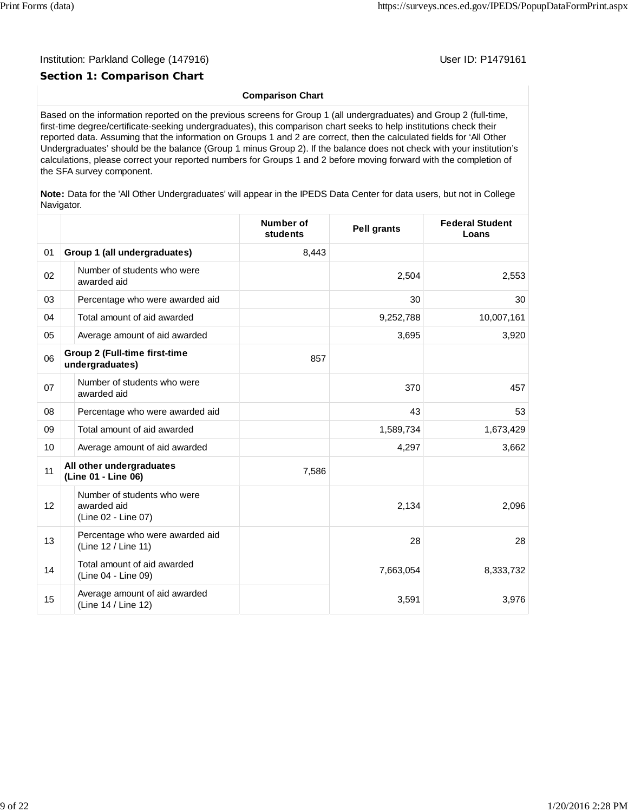### Institution: Parkland College (147916) November 2012 12: Physics User ID: P1479161

# **Section 1: Comparison Chart**

# **Comparison Chart**

Based on the information reported on the previous screens for Group 1 (all undergraduates) and Group 2 (full-time, first-time degree/certificate-seeking undergraduates), this comparison chart seeks to help institutions check their reported data. Assuming that the information on Groups 1 and 2 are correct, then the calculated fields for 'All Other Undergraduates' should be the balance (Group 1 minus Group 2). If the balance does not check with your institution's calculations, please correct your reported numbers for Groups 1 and 2 before moving forward with the completion of the SFA survey component.

**Note:** Data for the 'All Other Undergraduates' will appear in the IPEDS Data Center for data users, but not in College Navigator.

|    |                                                                   | <b>Number of</b><br>students | <b>Pell grants</b> | <b>Federal Student</b><br>Loans |
|----|-------------------------------------------------------------------|------------------------------|--------------------|---------------------------------|
| 01 | Group 1 (all undergraduates)                                      | 8,443                        |                    |                                 |
| 02 | Number of students who were<br>awarded aid                        |                              | 2,504              | 2,553                           |
| 03 | Percentage who were awarded aid                                   |                              | 30                 | 30                              |
| 04 | Total amount of aid awarded                                       |                              | 9,252,788          | 10,007,161                      |
| 05 | Average amount of aid awarded                                     |                              | 3,695              | 3,920                           |
| 06 | <b>Group 2 (Full-time first-time</b><br>undergraduates)           | 857                          |                    |                                 |
| 07 | Number of students who were<br>awarded aid                        |                              | 370                | 457                             |
| 08 | Percentage who were awarded aid                                   |                              | 43                 | 53                              |
| 09 | Total amount of aid awarded                                       |                              | 1,589,734          | 1,673,429                       |
| 10 | Average amount of aid awarded                                     |                              | 4,297              | 3,662                           |
| 11 | All other undergraduates<br>(Line 01 - Line 06)                   | 7,586                        |                    |                                 |
| 12 | Number of students who were<br>awarded aid<br>(Line 02 - Line 07) |                              | 2,134              | 2,096                           |
| 13 | Percentage who were awarded aid<br>(Line 12 / Line 11)            |                              | 28                 | 28                              |
| 14 | Total amount of aid awarded<br>(Line 04 - Line 09)                |                              | 7,663,054          | 8,333,732                       |
| 15 | Average amount of aid awarded<br>(Line 14 / Line 12)              |                              | 3,591              | 3,976                           |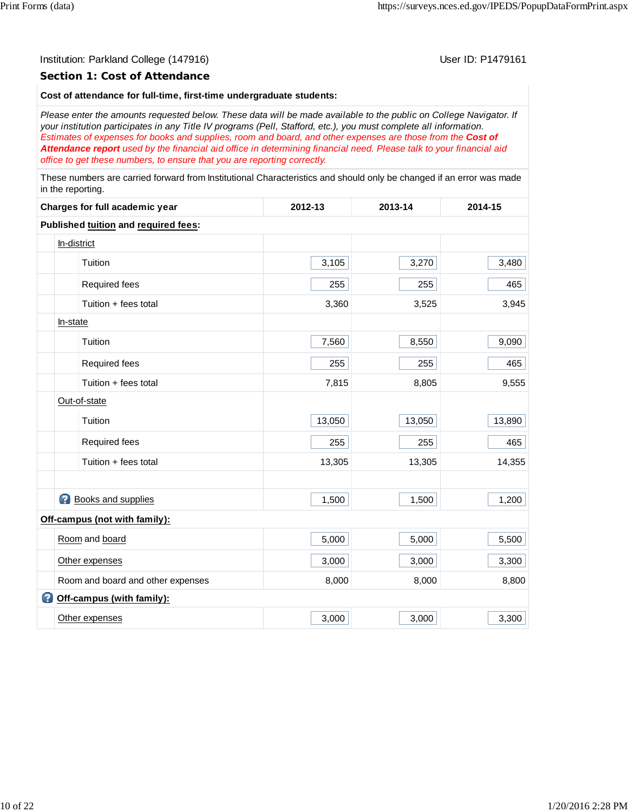#### **Section 1: Cost of Attendance**

# **Cost of attendance for full-time, first-time undergraduate students:**

*Please enter the amounts requested below. These data will be made available to the public on College Navigator. If your institution participates in any Title IV programs (Pell, Stafford, etc.), you must complete all information. Estimates of expenses for books and supplies, room and board, and other expenses are those from the Cost of Attendance report used by the financial aid office in determining financial need. Please talk to your financial aid office to get these numbers, to ensure that you are reporting correctly.*

These numbers are carried forward from Institutional Characteristics and should only be changed if an error was made in the reporting.

| Charges for full academic year       | 2012-13 | 2013-14 | 2014-15 |
|--------------------------------------|---------|---------|---------|
| Published tuition and required fees: |         |         |         |
| In-district                          |         |         |         |
| Tuition                              | 3,105   | 3,270   | 3,480   |
| Required fees                        | 255     | 255     | 465     |
| Tuition + fees total                 | 3,360   | 3,525   | 3,945   |
| In-state                             |         |         |         |
| Tuition                              | 7,560   | 8,550   | 9,090   |
| Required fees                        | 255     | 255     | 465     |
| Tuition + fees total                 | 7,815   | 8,805   | 9,555   |
| Out-of-state                         |         |         |         |
| Tuition                              | 13,050  | 13,050  | 13,890  |
| Required fees                        | 255     | 255     | 465     |
| Tuition + fees total                 | 13,305  | 13,305  | 14,355  |
|                                      |         |         |         |
| <b>Books and supplies</b>            | 1,500   | 1,500   | 1,200   |
| Off-campus (not with family):        |         |         |         |
| Room and board                       | 5,000   | 5,000   | 5,500   |
| Other expenses                       | 3,000   | 3,000   | 3,300   |
| Room and board and other expenses    | 8,000   | 8,000   | 8,800   |
| Off-campus (with family):            |         |         |         |
| Other expenses                       | 3,000   | 3,000   | 3,300   |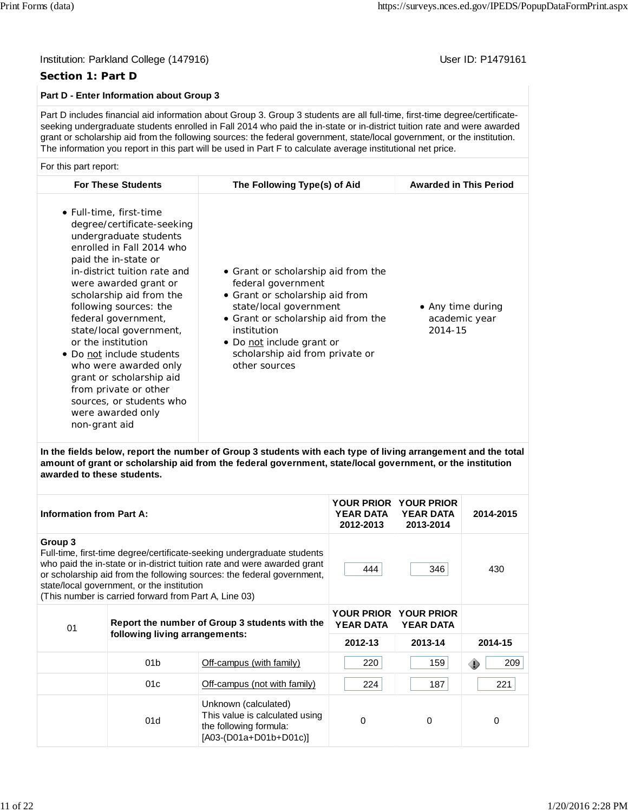### Institution: Parkland College (147916) November 2012 12: Physics User ID: P1479161

# **Section 1: Part D**

# **Part D - Enter Information about Group 3**

Part D includes financial aid information about Group 3. Group 3 students are all full-time, first-time degree/certificateseeking undergraduate students enrolled in Fall 2014 who paid the in-state or in-district tuition rate and were awarded grant or scholarship aid from the following sources: the federal government, state/local government, or the institution. The information you report in this part will be used in Part F to calculate average institutional net price.

#### For this part report:

| <b>For These Students</b>                                                                                                                                                                                                                                                                                                                                                                                                                                                                                | The Following Type(s) of Aid                                                                                                                                                                                                                                  | <b>Awarded in This Period</b>                 |
|----------------------------------------------------------------------------------------------------------------------------------------------------------------------------------------------------------------------------------------------------------------------------------------------------------------------------------------------------------------------------------------------------------------------------------------------------------------------------------------------------------|---------------------------------------------------------------------------------------------------------------------------------------------------------------------------------------------------------------------------------------------------------------|-----------------------------------------------|
| • Full-time, first-time<br>degree/certificate-seeking<br>undergraduate students<br>enrolled in Fall 2014 who<br>paid the in-state or<br>in-district tuition rate and<br>were awarded grant or<br>scholarship aid from the<br>following sources: the<br>federal government,<br>state/local government,<br>or the institution<br>• Do not include students<br>who were awarded only<br>grant or scholarship aid<br>from private or other<br>sources, or students who<br>were awarded only<br>non-grant aid | • Grant or scholarship aid from the<br>federal government<br>• Grant or scholarship aid from<br>state/local government<br>• Grant or scholarship aid from the<br>institution<br>• Do not include grant or<br>scholarship aid from private or<br>other sources | • Any time during<br>academic year<br>2014-15 |

**In the fields below, report the number of Group 3 students with each type of living arrangement and the total amount of grant or scholarship aid from the federal government, state/local government, or the institution awarded to these students.**

| <b>Information from Part A:</b> |                                                                                                                                                                                                                                                                                                                                      | <b>YOUR PRIOR</b><br><b>YEAR DATA</b><br>2012-2013                                                           | <b>YOUR PRIOR</b><br><b>YEAR DATA</b><br>2013-2014                             | 2014-2015 |             |
|---------------------------------|--------------------------------------------------------------------------------------------------------------------------------------------------------------------------------------------------------------------------------------------------------------------------------------------------------------------------------------|--------------------------------------------------------------------------------------------------------------|--------------------------------------------------------------------------------|-----------|-------------|
| Group 3                         | Full-time, first-time degree/certificate-seeking undergraduate students<br>who paid the in-state or in-district tuition rate and were awarded grant<br>or scholarship aid from the following sources: the federal government,<br>state/local government, or the institution<br>(This number is carried forward from Part A, Line 03) | 444                                                                                                          | 346                                                                            | 430       |             |
| 01                              |                                                                                                                                                                                                                                                                                                                                      | Report the number of Group 3 students with the                                                               | <b>YOUR PRIOR</b><br><b>YOUR PRIOR</b><br><b>YEAR DATA</b><br><b>YEAR DATA</b> |           |             |
|                                 | following living arrangements:                                                                                                                                                                                                                                                                                                       |                                                                                                              | 2012-13                                                                        | 2013-14   | 2014-15     |
|                                 | 01 <sub>b</sub>                                                                                                                                                                                                                                                                                                                      | Off-campus (with family)                                                                                     | 220                                                                            | 159       | 209<br>Œ    |
|                                 | 01c                                                                                                                                                                                                                                                                                                                                  | Off-campus (not with family)                                                                                 | 224                                                                            | 187       | 221         |
|                                 | 01d                                                                                                                                                                                                                                                                                                                                  | Unknown (calculated)<br>This value is calculated using<br>the following formula:<br>$[A03-(D01a+D01b+D01c)]$ | $\Omega$                                                                       | 0         | $\mathbf 0$ |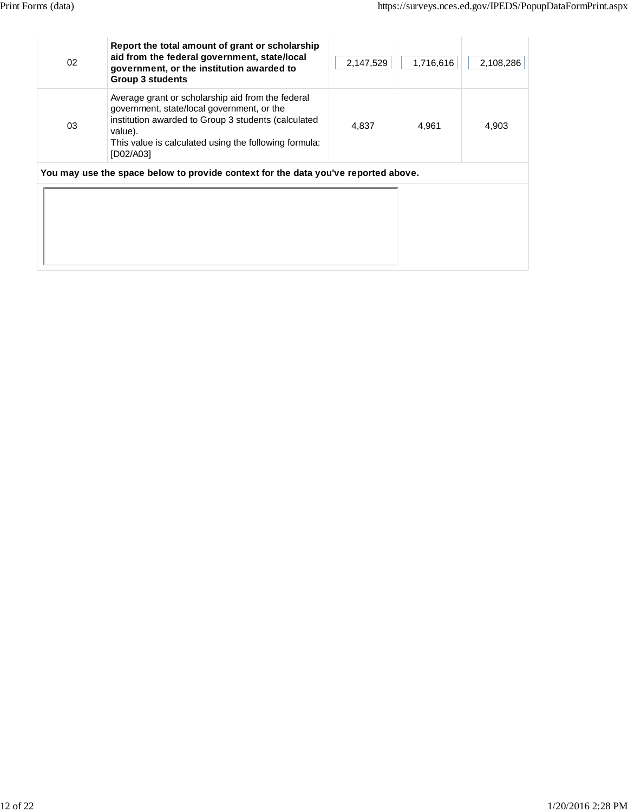| 02 | Report the total amount of grant or scholarship<br>aid from the federal government, state/local<br>government, or the institution awarded to<br><b>Group 3 students</b>                                                                 | 2,147,529 | 1,716,616 | 2,108,286 |
|----|-----------------------------------------------------------------------------------------------------------------------------------------------------------------------------------------------------------------------------------------|-----------|-----------|-----------|
| 03 | Average grant or scholarship aid from the federal<br>government, state/local government, or the<br>institution awarded to Group 3 students (calculated<br>value).<br>This value is calculated using the following formula:<br>[D02/A03] | 4,837     | 4,961     | 4,903     |
|    | You may use the space below to provide context for the data you've reported above.                                                                                                                                                      |           |           |           |
|    |                                                                                                                                                                                                                                         |           |           |           |
|    |                                                                                                                                                                                                                                         |           |           |           |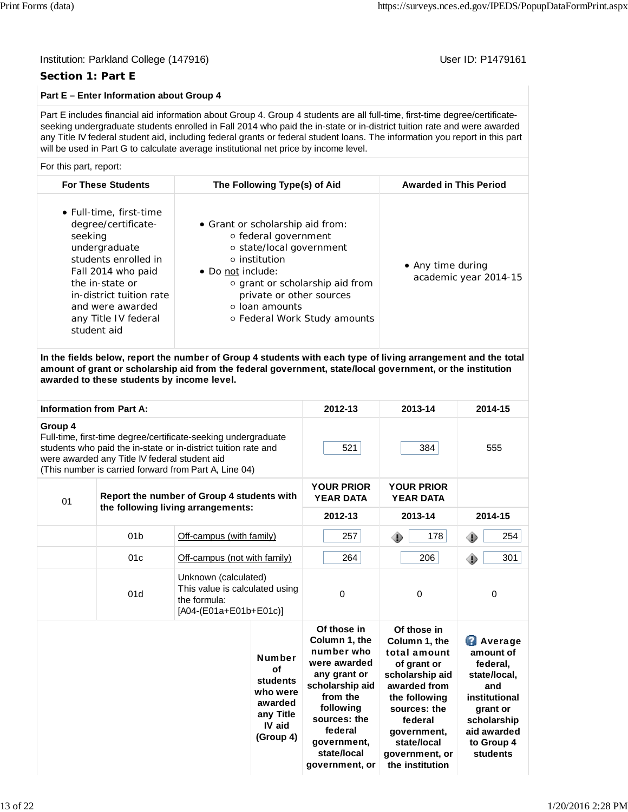# **Section 1: Part E**

# **Part E – Enter Information about Group 4**

Part E includes financial aid information about Group 4. Group 4 students are all full-time, first-time degree/certificateseeking undergraduate students enrolled in Fall 2014 who paid the in-state or in-district tuition rate and were awarded any Title IV federal student aid, including federal grants or federal student loans. The information you report in this part will be used in Part G to calculate average institutional net price by income level.

#### For this part, report:

| <b>For These Students</b>                                                                                                                                                                                                          | The Following Type(s) of Aid                                                                                                                                                                                                                            | <b>Awarded in This Period</b>              |
|------------------------------------------------------------------------------------------------------------------------------------------------------------------------------------------------------------------------------------|---------------------------------------------------------------------------------------------------------------------------------------------------------------------------------------------------------------------------------------------------------|--------------------------------------------|
| • Full-time, first-time<br>degree/certificate-<br>seeking<br>undergraduate<br>students enrolled in<br>Fall 2014 who paid<br>the in-state or<br>in-district tuition rate<br>and were awarded<br>any Title IV federal<br>student aid | • Grant or scholarship aid from:<br>○ federal government<br>○ state/local government<br>$\circ$ institution<br>• Do not include:<br>○ grant or scholarship aid from<br>private or other sources<br>$\circ$ loan amounts<br>○ Federal Work Study amounts | • Any time during<br>academic year 2014-15 |
|                                                                                                                                                                                                                                    |                                                                                                                                                                                                                                                         |                                            |

**In the fields below, report the number of Group 4 students with each type of living arrangement and the total amount of grant or scholarship aid from the federal government, state/local government, or the institution awarded to these students by income level.**

| <b>Information from Part A:</b>                                                                                                                                                                                                                       |                 |                                    |                                                                                            | 2012-13                                                                                                                                                                                           | 2013-14                                                                                                                                                                                                       | 2014-15                                                                                                                                                    |
|-------------------------------------------------------------------------------------------------------------------------------------------------------------------------------------------------------------------------------------------------------|-----------------|------------------------------------|--------------------------------------------------------------------------------------------|---------------------------------------------------------------------------------------------------------------------------------------------------------------------------------------------------|---------------------------------------------------------------------------------------------------------------------------------------------------------------------------------------------------------------|------------------------------------------------------------------------------------------------------------------------------------------------------------|
| Group 4<br>Full-time, first-time degree/certificate-seeking undergraduate<br>students who paid the in-state or in-district tuition rate and<br>were awarded any Title IV federal student aid<br>(This number is carried forward from Part A, Line 04) |                 |                                    |                                                                                            | 521                                                                                                                                                                                               | 384                                                                                                                                                                                                           | 555                                                                                                                                                        |
| Report the number of Group 4 students with<br>01                                                                                                                                                                                                      |                 |                                    |                                                                                            | <b>YOUR PRIOR</b><br><b>YEAR DATA</b>                                                                                                                                                             | <b>YOUR PRIOR</b><br><b>YEAR DATA</b>                                                                                                                                                                         |                                                                                                                                                            |
|                                                                                                                                                                                                                                                       |                 | the following living arrangements: |                                                                                            | 2012-13                                                                                                                                                                                           | 2013-14                                                                                                                                                                                                       | 2014-15                                                                                                                                                    |
|                                                                                                                                                                                                                                                       | 01 <sub>b</sub> |                                    | Off-campus (with family)                                                                   |                                                                                                                                                                                                   | 178<br>۰                                                                                                                                                                                                      | 254<br>◈                                                                                                                                                   |
|                                                                                                                                                                                                                                                       | 01c             |                                    | Off-campus (not with family)                                                               |                                                                                                                                                                                                   | 206                                                                                                                                                                                                           | 301<br>◈                                                                                                                                                   |
|                                                                                                                                                                                                                                                       | 01d             | the formula:                       | Unknown (calculated)<br>This value is calculated using<br>[A04-(E01a+E01b+E01c)]           |                                                                                                                                                                                                   | 0                                                                                                                                                                                                             | 0                                                                                                                                                          |
|                                                                                                                                                                                                                                                       |                 |                                    | <b>Number</b><br>of<br>students<br>who were<br>awarded<br>any Title<br>IV aid<br>(Group 4) | Of those in<br>Column 1, the<br>number who<br>were awarded<br>any grant or<br>scholarship aid<br>from the<br>following<br>sources: the<br>federal<br>government,<br>state/local<br>government, or | Of those in<br>Column 1. the<br>total amount<br>of grant or<br>scholarship aid<br>awarded from<br>the following<br>sources: the<br>federal<br>government,<br>state/local<br>government, or<br>the institution | <b>Average</b><br>amount of<br>federal,<br>state/local,<br>and<br>institutional<br>grant or<br>scholarship<br>aid awarded<br>to Group 4<br><b>students</b> |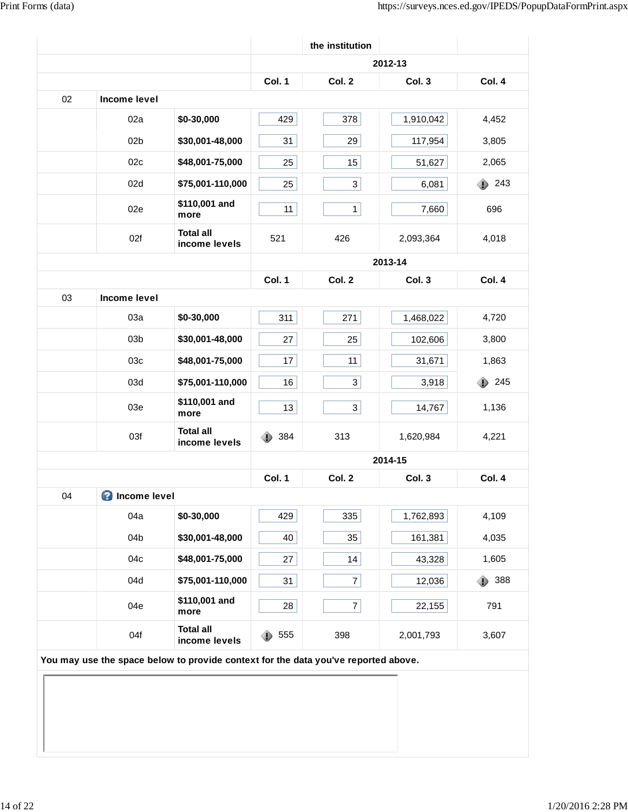|    |                       |                                                                                    |          | the institution |           |               |
|----|-----------------------|------------------------------------------------------------------------------------|----------|-----------------|-----------|---------------|
|    |                       |                                                                                    |          |                 | 2012-13   |               |
|    |                       |                                                                                    | Col. 1   | Col. 2          | Col. 3    | Col. 4        |
| 02 | Income level          |                                                                                    |          |                 |           |               |
|    | 02a                   | \$0-30,000                                                                         | 429      | 378             | 1,910,042 | 4,452         |
|    | 02 <sub>b</sub>       | \$30,001-48,000                                                                    | 31       | 29              | 117,954   | 3,805         |
|    | 02c                   | \$48,001-75,000                                                                    | 25       | 15              | 51,627    | 2,065         |
|    | 02d                   | \$75,001-110,000                                                                   | 25       | 3               | 6,081     | $\bullet$ 243 |
|    | 02e                   | \$110,001 and<br>more                                                              | 11       | $\mathbf{1}$    | 7,660     | 696           |
|    | 02f                   | <b>Total all</b><br>income levels                                                  | 521      | 426             | 2,093,364 | 4,018         |
|    |                       |                                                                                    |          |                 | 2013-14   |               |
|    |                       |                                                                                    | Col. 1   | Col. 2          | Col. 3    | Col. 4        |
| 03 | Income level          |                                                                                    |          |                 |           |               |
|    | 03a                   | \$0-30,000                                                                         | 311      | 271             | 1,468,022 | 4,720         |
|    | 03 <sub>b</sub>       | \$30,001-48,000                                                                    | 27       | 25              | 102,606   | 3,800         |
|    | 03c                   | \$48,001-75,000                                                                    | 17       | 11              | 31,671    | 1,863         |
|    | 03d                   | \$75,001-110,000                                                                   | 16       | $\mathbf{3}$    | 3,918     | 245<br>⊕      |
|    | 03e                   | \$110,001 and<br>more                                                              | 13       | $\mathbf{3}$    | 14,767    | 1,136         |
|    | 03f                   | <b>Total all</b><br>income levels                                                  | 384<br>۰ | 313             | 1,620,984 | 4,221         |
|    |                       |                                                                                    |          |                 | 2014-15   |               |
|    |                       |                                                                                    | Col. 1   | Col. 2          | Col. 3    | Col. 4        |
| 04 | <b>O</b> Income level |                                                                                    |          |                 |           |               |
|    | 04a                   | \$0-30,000                                                                         | 429      | 335             | 1,762,893 | 4,109         |
|    | 04b                   | \$30,001-48,000                                                                    | 40       | 35              | 161,381   | 4,035         |
|    | 04c                   | \$48,001-75,000                                                                    | 27       | 14              | 43,328    | 1,605         |
|    | 04d                   | \$75,001-110,000                                                                   | 31       | $\overline{7}$  | 12,036    | 388<br>⊕      |
|    | 04e                   | \$110,001 and<br>more                                                              | 28       | $\overline{7}$  | 22,155    | 791           |
|    | 04f                   | <b>Total all</b><br>income levels                                                  | 555<br>⊕ | 398             | 2,001,793 | 3,607         |
|    |                       | You may use the space below to provide context for the data you've reported above. |          |                 |           |               |
|    |                       |                                                                                    |          |                 |           |               |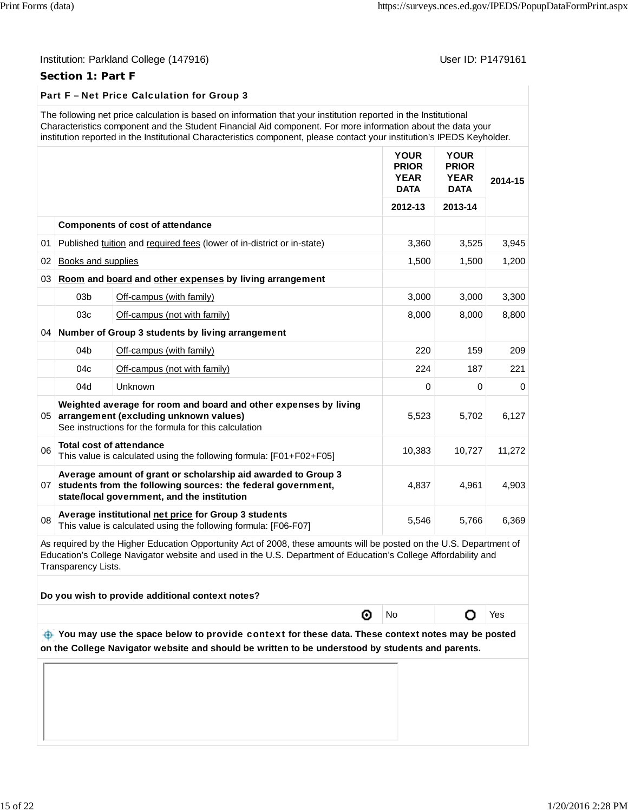# **Section 1: Part F**

# Part F – Net Price Calculation for Group 3

| The following net price calculation is based on information that your institution reported in the Institutional<br>Characteristics component and the Student Financial Aid component. For more information about the data your<br>institution reported in the Institutional Characteristics component, please contact your institution's IPEDS Keyholder. |             |             |  |
|-----------------------------------------------------------------------------------------------------------------------------------------------------------------------------------------------------------------------------------------------------------------------------------------------------------------------------------------------------------|-------------|-------------|--|
|                                                                                                                                                                                                                                                                                                                                                           | <b>YOUR</b> | <b>YOUR</b> |  |

|                 |                    |                                                                                                                                                                              | <b>PRIOR</b><br><b>YEAR</b><br><b>DATA</b> | <b>PRIOR</b><br><b>YEAR</b><br><b>DATA</b> | 2014-15  |
|-----------------|--------------------|------------------------------------------------------------------------------------------------------------------------------------------------------------------------------|--------------------------------------------|--------------------------------------------|----------|
|                 |                    |                                                                                                                                                                              | 2012-13                                    | 2013-14                                    |          |
|                 |                    | <b>Components of cost of attendance</b>                                                                                                                                      |                                            |                                            |          |
| 01              |                    | Published tuition and required fees (lower of in-district or in-state)                                                                                                       | 3,360                                      | 3,525                                      | 3,945    |
| 02              | Books and supplies |                                                                                                                                                                              | 1,500                                      | 1,500                                      | 1,200    |
| 03              |                    | Room and board and other expenses by living arrangement                                                                                                                      |                                            |                                            |          |
|                 | 03 <sub>b</sub>    | Off-campus (with family)                                                                                                                                                     | 3,000                                      | 3,000                                      | 3,300    |
|                 | 03c                | Off-campus (not with family)                                                                                                                                                 | 8,000                                      | 8,000                                      | 8,800    |
|                 |                    | 04 Number of Group 3 students by living arrangement                                                                                                                          |                                            |                                            |          |
|                 | 04 <sub>b</sub>    | Off-campus (with family)                                                                                                                                                     | 220                                        | 159                                        | 209      |
|                 | 04c                | Off-campus (not with family)                                                                                                                                                 | 224                                        | 187                                        | 221      |
|                 | 04d                | Unknown                                                                                                                                                                      | 0                                          | 0                                          | $\Omega$ |
| 05              |                    | Weighted average for room and board and other expenses by living<br>arrangement (excluding unknown values)<br>See instructions for the formula for this calculation          | 5,523                                      | 5,702                                      | 6,127    |
| 06              |                    | <b>Total cost of attendance</b><br>This value is calculated using the following formula: [F01+F02+F05]                                                                       | 10,383                                     | 10,727                                     | 11,272   |
| 07 <sup>1</sup> |                    | Average amount of grant or scholarship aid awarded to Group 3<br>students from the following sources: the federal government,<br>state/local government, and the institution | 4,837                                      | 4,961                                      | 4,903    |
| 08              |                    | Average institutional net price for Group 3 students<br>This value is calculated using the following formula: [F06-F07]                                                      | 5,546                                      | 5,766                                      | 6,369    |

As required by the Higher Education Opportunity Act of 2008, these amounts will be posted on the U.S. Department of Education's College Navigator website and used in the U.S. Department of Education's College Affordability and Transparency Lists.

| Do you wish to provide additional context notes? |
|--------------------------------------------------|
|                                                  |

⊚

No | O Yes

 **You may use the space below to** provide context **for these data. These context notes may be posted on the College Navigator website and should be written to be understood by students and parents.**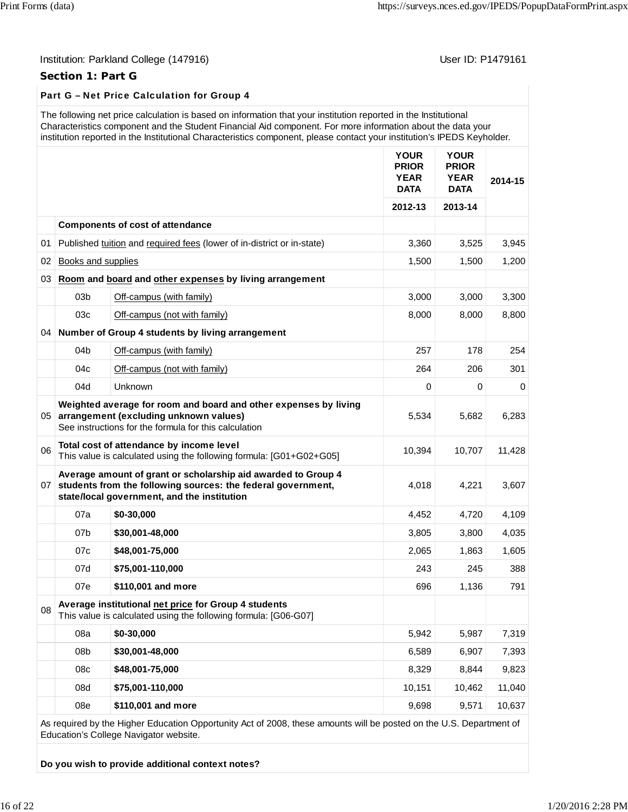# **Section 1: Part G**

# Part G – Net Price Calculation for Group 4

| The following net price calculation is based on information that your institution reported in the Institutional         |
|-------------------------------------------------------------------------------------------------------------------------|
| Characteristics component and the Student Financial Aid component. For more information about the data your             |
| institution reported in the Institutional Characteristics component, please contact your institution's IPEDS Keyholder. |

|    |                    |                                                                                                                                                                              | <b>YOUR</b><br><b>PRIOR</b><br><b>YEAR</b><br><b>DATA</b> | <b>YOUR</b><br><b>PRIOR</b><br><b>YEAR</b><br><b>DATA</b> | 2014-15 |
|----|--------------------|------------------------------------------------------------------------------------------------------------------------------------------------------------------------------|-----------------------------------------------------------|-----------------------------------------------------------|---------|
|    |                    |                                                                                                                                                                              | 2012-13                                                   | 2013-14                                                   |         |
|    |                    | <b>Components of cost of attendance</b>                                                                                                                                      |                                                           |                                                           |         |
| 01 |                    | Published tuition and required fees (lower of in-district or in-state)                                                                                                       | 3,360                                                     | 3,525                                                     | 3,945   |
| 02 | Books and supplies |                                                                                                                                                                              | 1,500                                                     | 1,500                                                     | 1,200   |
| 03 |                    | Room and board and other expenses by living arrangement                                                                                                                      |                                                           |                                                           |         |
|    | 03 <sub>b</sub>    | Off-campus (with family)                                                                                                                                                     | 3,000                                                     | 3,000                                                     | 3,300   |
|    | 03c                | Off-campus (not with family)                                                                                                                                                 | 8,000                                                     | 8,000                                                     | 8,800   |
|    |                    | 04 Number of Group 4 students by living arrangement                                                                                                                          |                                                           |                                                           |         |
|    | 04 <sub>b</sub>    | Off-campus (with family)                                                                                                                                                     | 257                                                       | 178                                                       | 254     |
|    | 04c                | Off-campus (not with family)                                                                                                                                                 | 264                                                       | 206                                                       | 301     |
|    | 04d                | Unknown                                                                                                                                                                      | 0                                                         | 0                                                         | 0       |
| 05 |                    | Weighted average for room and board and other expenses by living<br>arrangement (excluding unknown values)<br>See instructions for the formula for this calculation          | 5,534                                                     | 5,682                                                     | 6,283   |
| 06 |                    | Total cost of attendance by income level<br>This value is calculated using the following formula: [G01+G02+G05]                                                              | 10,394                                                    | 10,707                                                    | 11,428  |
| 07 |                    | Average amount of grant or scholarship aid awarded to Group 4<br>students from the following sources: the federal government,<br>state/local government, and the institution | 4,018                                                     | 4,221                                                     | 3,607   |
|    | 07a                | \$0-30,000                                                                                                                                                                   | 4,452                                                     | 4,720                                                     | 4,109   |
|    | 07b                | \$30,001-48,000                                                                                                                                                              | 3,805                                                     | 3,800                                                     | 4,035   |
|    | 07 <sub>c</sub>    | \$48,001-75,000                                                                                                                                                              | 2.065                                                     | 1,863                                                     | 1,605   |
|    | 07d                | \$75,001-110,000                                                                                                                                                             | 243                                                       | 245                                                       | 388     |
|    | 07e                | \$110,001 and more                                                                                                                                                           | 696                                                       | 1,136                                                     | 791     |
| 08 |                    | Average institutional net price for Group 4 students<br>This value is calculated using the following formula: [G06-G07]                                                      |                                                           |                                                           |         |
|    | 08a                | \$0-30,000                                                                                                                                                                   | 5,942                                                     | 5,987                                                     | 7,319   |
|    | 08b                | \$30,001-48,000                                                                                                                                                              | 6,589                                                     | 6,907                                                     | 7,393   |
|    | 08c                | \$48,001-75,000                                                                                                                                                              | 8,329                                                     | 8,844                                                     | 9,823   |
|    | 08d                | \$75,001-110,000                                                                                                                                                             | 10,151                                                    | 10,462                                                    | 11,040  |
|    | 08e                | \$110,001 and more                                                                                                                                                           | 9,698                                                     | 9,571                                                     | 10,637  |

As required by the Higher Education Opportunity Act of 2008, these amounts will be posted on the U.S. Department of Education's College Navigator website.

**Do you wish to provide additional context notes?**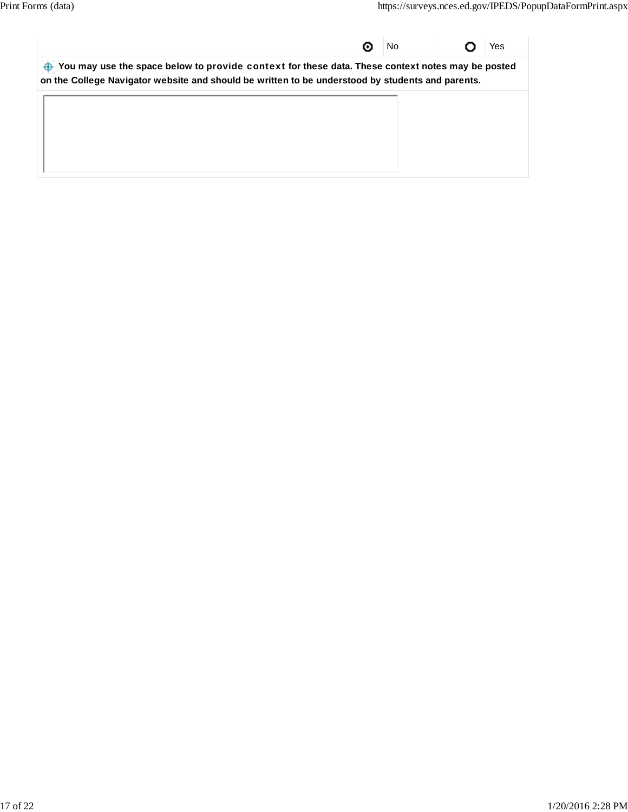| υ                                                                                                                                                                                                    | No. |  | Yes |
|------------------------------------------------------------------------------------------------------------------------------------------------------------------------------------------------------|-----|--|-----|
| You may use the space below to provide context for these data. These context notes may be posted<br>on the College Navigator website and should be written to be understood by students and parents. |     |  |     |
|                                                                                                                                                                                                      |     |  |     |
|                                                                                                                                                                                                      |     |  |     |
|                                                                                                                                                                                                      |     |  |     |
|                                                                                                                                                                                                      |     |  |     |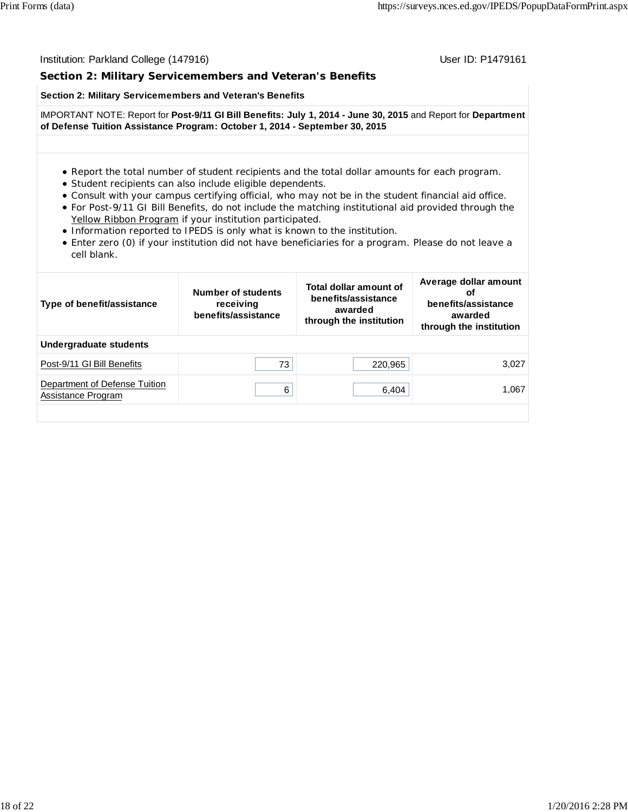# **Section 2: Military Servicemembers and Veteran's Benefits**

### **Section 2: Military Servicemembers and Veteran's Benefits**

IMPORTANT NOTE: Report for **Post-9/11 GI Bill Benefits: July 1, 2014 - June 30, 2015** and Report for **Department of Defense Tuition Assistance Program: October 1, 2014 - September 30, 2015**

#### Report the total number of student recipients and the total dollar amounts for each program.

- Student recipients can also include eligible dependents.
- Consult with your campus certifying official, who may not be in the student financial aid office.
- For Post-9/11 GI Bill Benefits, do not include the matching institutional aid provided through the Yellow Ribbon Program if your institution participated.
- Information reported to IPEDS is only what is known to the institution.
- Enter zero (0) if your institution did not have beneficiaries for a program. Please do not leave a cell blank.

| Type of benefit/assistance                          | Number of students<br>receiving<br>benefits/assistance | Total dollar amount of<br>benefits/assistance<br>awarded<br>through the institution | Average dollar amount<br>оf<br>benefits/assistance<br>awarded<br>through the institution |  |
|-----------------------------------------------------|--------------------------------------------------------|-------------------------------------------------------------------------------------|------------------------------------------------------------------------------------------|--|
| Undergraduate students                              |                                                        |                                                                                     |                                                                                          |  |
| Post-9/11 GI Bill Benefits                          | 73                                                     | 220,965                                                                             | 3.027                                                                                    |  |
| Department of Defense Tuition<br>Assistance Program | 6                                                      | 6,404                                                                               | 1.067                                                                                    |  |
|                                                     |                                                        |                                                                                     |                                                                                          |  |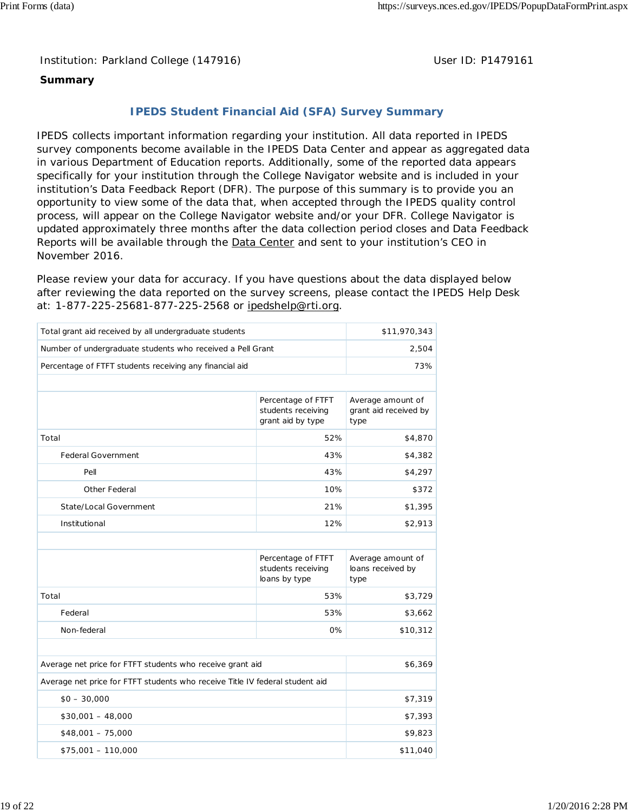Institution: Parkland College (147916) **Distribution: Parkland College (1479161** College College College College College College College College College College College College College College College College College Colle

# **Summary**

# **IPEDS Student Financial Aid (SFA) Survey Summary**

IPEDS collects important information regarding your institution. All data reported in IPEDS survey components become available in the IPEDS Data Center and appear as aggregated data in various Department of Education reports. Additionally, some of the reported data appears specifically for your institution through the College Navigator website and is included in your institution's Data Feedback Report (DFR). The purpose of this summary is to provide you an opportunity to view some of the data that, when accepted through the IPEDS quality control process, will appear on the College Navigator website and/or your DFR. College Navigator is updated approximately three months after the data collection period closes and Data Feedback Reports will be available through the **Data Center** and sent to your institution's CEO in November 2016.

Please review your data for accuracy. If you have questions about the data displayed below after reviewing the data reported on the survey screens, please contact the IPEDS Help Desk at: 1-877-225-25681-877-225-2568 or ipedshelp@rti.org.

| Total grant aid received by all undergraduate students                       | \$11,970,343                                                  |                                                    |  |  |
|------------------------------------------------------------------------------|---------------------------------------------------------------|----------------------------------------------------|--|--|
| Number of undergraduate students who received a Pell Grant                   | 2,504                                                         |                                                    |  |  |
| Percentage of FTFT students receiving any financial aid                      |                                                               | 73%                                                |  |  |
|                                                                              |                                                               |                                                    |  |  |
|                                                                              | Percentage of FTFT<br>students receiving<br>grant aid by type | Average amount of<br>grant aid received by<br>type |  |  |
| Total                                                                        | 52%                                                           | \$4,870                                            |  |  |
| <b>Federal Government</b>                                                    | 43%                                                           | \$4,382                                            |  |  |
| Pell                                                                         | 43%                                                           | \$4,297                                            |  |  |
| Other Federal                                                                | 10%                                                           | \$372                                              |  |  |
| State/Local Government                                                       | 21%                                                           |                                                    |  |  |
| Institutional                                                                | \$2,913                                                       |                                                    |  |  |
|                                                                              |                                                               |                                                    |  |  |
|                                                                              | Average amount of<br>loans received by<br>type                |                                                    |  |  |
| Total                                                                        | 53%                                                           | \$3,729                                            |  |  |
| Federal                                                                      | 53%                                                           | \$3,662                                            |  |  |
| Non-federal                                                                  | 0%                                                            | \$10,312                                           |  |  |
|                                                                              |                                                               |                                                    |  |  |
| Average net price for FTFT students who receive grant aid                    |                                                               | \$6,369                                            |  |  |
| Average net price for FTFT students who receive Title IV federal student aid |                                                               |                                                    |  |  |
| $$0 - 30,000$                                                                | \$7,319                                                       |                                                    |  |  |
| $$30,001 - 48,000$                                                           | \$7,393                                                       |                                                    |  |  |
| $$48,001 - 75,000$                                                           | \$9,823                                                       |                                                    |  |  |
| $$75,001 - 110,000$                                                          | \$11,040                                                      |                                                    |  |  |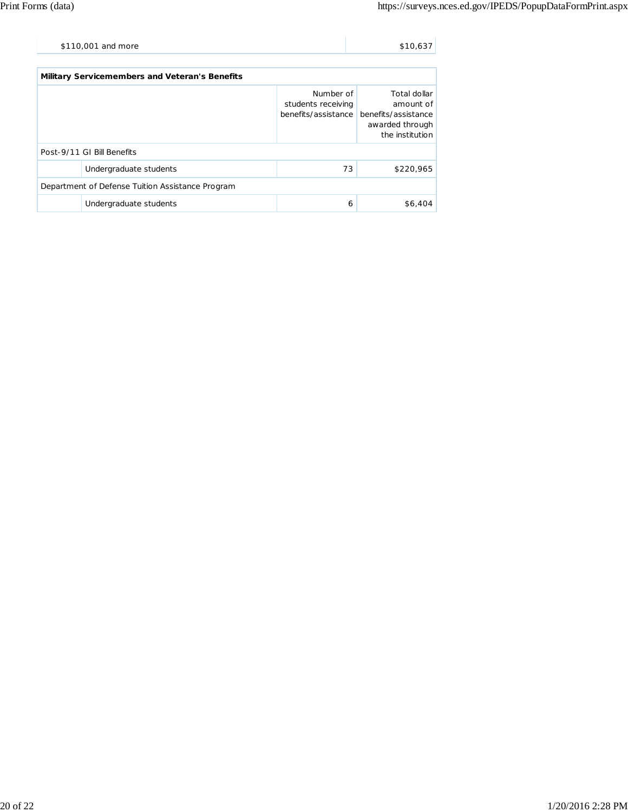| \$110,001 and more | \$10.637 |
|--------------------|----------|
|                    |          |

| Military Servicemembers and Veteran's Benefits   |                            |                                                        |                                                                                        |  |  |
|--------------------------------------------------|----------------------------|--------------------------------------------------------|----------------------------------------------------------------------------------------|--|--|
|                                                  |                            | Number of<br>students receiving<br>benefits/assistance | Total dollar<br>amount of<br>benefits/assistance<br>awarded through<br>the institution |  |  |
|                                                  | Post-9/11 GI Bill Benefits |                                                        |                                                                                        |  |  |
|                                                  | Undergraduate students     | 73                                                     | \$220,965                                                                              |  |  |
| Department of Defense Tuition Assistance Program |                            |                                                        |                                                                                        |  |  |
|                                                  | Undergraduate students     | 6                                                      | \$6,404                                                                                |  |  |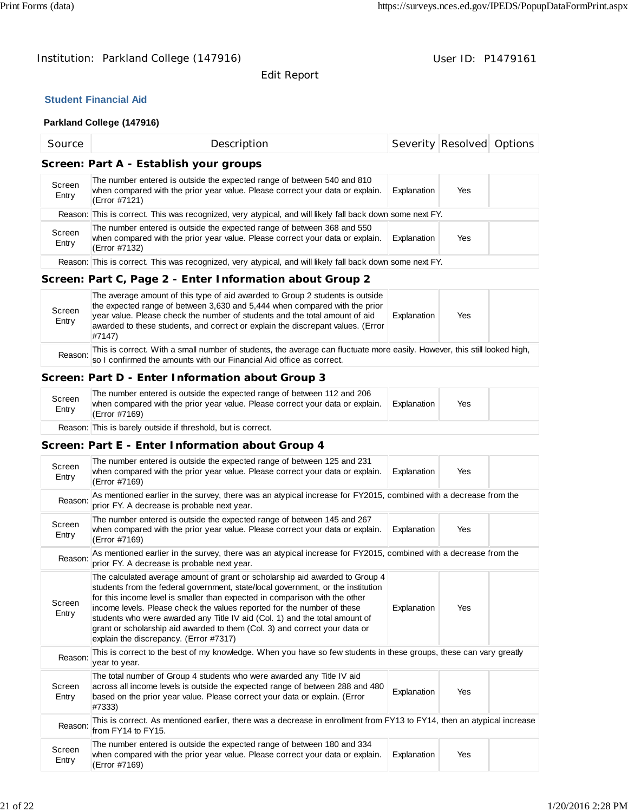Edit Report

# **Student Financial Aid**

# **Parkland College (147916)**

| Source                                 | Description                                                                                                                                                               |             | Severity Resolved Options |  |  |  |
|----------------------------------------|---------------------------------------------------------------------------------------------------------------------------------------------------------------------------|-------------|---------------------------|--|--|--|
| Screen: Part A - Establish your groups |                                                                                                                                                                           |             |                           |  |  |  |
| Screen<br>Entry                        | The number entered is outside the expected range of between 540 and 810<br>when compared with the prior year value. Please correct your data or explain.<br>(Error #7121) | Explanation | Yes                       |  |  |  |
|                                        | Reason: This is correct. This was recognized, very atypical, and will likely fall back down some next FY.                                                                 |             |                           |  |  |  |
| Screen<br>Entry                        | The number entered is outside the expected range of between 368 and 550<br>when compared with the prior year value. Please correct your data or explain.<br>(Error #7132) | Explanation | Yes                       |  |  |  |
|                                        | Reason: This is correct. This was recognized, very atypical, and will likely fall back down some next FY.                                                                 |             |                           |  |  |  |

# **Screen: Part C, Page 2 - Enter Information about Group 2**

| Screen<br>Entry | The average amount of this type of aid awarded to Group 2 students is outside<br>the expected range of between 3,630 and 5,444 when compared with the prior<br>year value. Please check the number of students and the total amount of aid<br>awarded to these students, and correct or explain the discrepant values. (Error<br>#7147) | Explanation | Yes |  |
|-----------------|-----------------------------------------------------------------------------------------------------------------------------------------------------------------------------------------------------------------------------------------------------------------------------------------------------------------------------------------|-------------|-----|--|
|                 | This is correct. With a small number of students, the average can fluctuate more easily. However, this still looked high,<br>Reason: so I confirmed the amounts with our Financial Aid office as correct.                                                                                                                               |             |     |  |

# **Screen: Part D - Enter Information about Group 3**

| Screen<br>Entry | The number entered is outside the expected range of between 112 and 206<br>when compared with the prior year value. Please correct your data or explain.<br>(Error #7169) | Explanation | Yes |  |
|-----------------|---------------------------------------------------------------------------------------------------------------------------------------------------------------------------|-------------|-----|--|
|                 | Reason: This is barely outside if threshold, but is correct.                                                                                                              |             |     |  |

# **Screen: Part E - Enter Information about Group 4**

| Reason:<br>Screen | This is correct. As mentioned earlier, there was a decrease in enrollment from FY13 to FY14, then an atypical increase<br>from FY14 to FY15.<br>The number entered is outside the expected range of between 180 and 334<br>when compared with the prior year value. Please correct your data or explain.                                                                                                                                                                                                                          | Explanation | Yes |  |  |
|-------------------|-----------------------------------------------------------------------------------------------------------------------------------------------------------------------------------------------------------------------------------------------------------------------------------------------------------------------------------------------------------------------------------------------------------------------------------------------------------------------------------------------------------------------------------|-------------|-----|--|--|
| Screen<br>Entry   | The total number of Group 4 students who were awarded any Title IV aid<br>across all income levels is outside the expected range of between 288 and 480<br>based on the prior year value. Please correct your data or explain. (Error<br>#7333)                                                                                                                                                                                                                                                                                   | Explanation | Yes |  |  |
| Reason:           | This is correct to the best of my knowledge. When you have so few students in these groups, these can vary greatly<br>year to year.                                                                                                                                                                                                                                                                                                                                                                                               |             |     |  |  |
| Screen<br>Entry   | The calculated average amount of grant or scholarship aid awarded to Group 4<br>students from the federal government, state/local government, or the institution<br>for this income level is smaller than expected in comparison with the other<br>income levels. Please check the values reported for the number of these<br>students who were awarded any Title IV aid (Col. 1) and the total amount of<br>grant or scholarship aid awarded to them (Col. 3) and correct your data or<br>explain the discrepancy. (Error #7317) | Explanation | Yes |  |  |
| Reason:           | As mentioned earlier in the survey, there was an atypical increase for FY2015, combined with a decrease from the<br>prior FY. A decrease is probable next year.                                                                                                                                                                                                                                                                                                                                                                   |             |     |  |  |
| Screen<br>Entry   | The number entered is outside the expected range of between 145 and 267<br>when compared with the prior year value. Please correct your data or explain.<br>(Error #7169)                                                                                                                                                                                                                                                                                                                                                         | Explanation | Yes |  |  |
| Reason:           | As mentioned earlier in the survey, there was an atypical increase for FY2015, combined with a decrease from the<br>prior FY. A decrease is probable next year.                                                                                                                                                                                                                                                                                                                                                                   |             |     |  |  |
| Screen<br>Entry   | The number entered is outside the expected range of between 125 and 231<br>when compared with the prior year value. Please correct your data or explain.<br>(Error #7169)                                                                                                                                                                                                                                                                                                                                                         | Explanation | Yes |  |  |